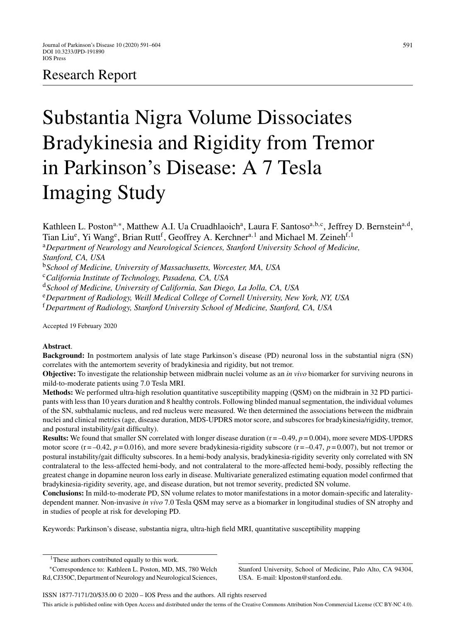# Research Report

# Substantia Nigra Volume Dissociates Bradykinesia and Rigidity from Tremor in Parkinson's Disease: A 7 Tesla Imaging Study

591

Kathleen L. Poston<sup>a,∗</sup>, Matthew A.I. Ua Cruadhlaoich<sup>a</sup>, Laura F. Santoso<sup>a,b,c</sup>, Jeffrey D. Bernstein<sup>a,d</sup>, Tian Liu<sup>e</sup>, Yi Wang<sup>e</sup>, Brian Rutt<sup>f</sup>, Geoffrey A. Kerchner<sup>a, 1</sup> and Michael M. Zeineh<sup>f, 1</sup>

<sup>a</sup>*Department of Neurology and Neurological Sciences, Stanford University School of Medicine, Stanford, CA, USA*

<sup>b</sup>*School of Medicine, University of Massachusetts, Worcester, MA, USA*

<sup>c</sup>*California Institute of Technology, Pasadena, CA, USA*

<sup>d</sup>*School of Medicine, University of California, San Diego, La Jolla, CA, USA*

<sup>e</sup>*Department of Radiology, Weill Medical College of Cornell University, New York, NY, USA*

<sup>f</sup>*Department of Radiology, Stanford University School of Medicine, Stanford, CA, USA*

Accepted 19 February 2020

#### **Abstract**.

**Background:** In postmortem analysis of late stage Parkinson's disease (PD) neuronal loss in the substantial nigra (SN) correlates with the antemortem severity of bradykinesia and rigidity, but not tremor.

**Objective:** To investigate the relationship between midbrain nuclei volume as an *in vivo* biomarker for surviving neurons in mild-to-moderate patients using 7.0 Tesla MRI.

**Methods:** We performed ultra-high resolution quantitative susceptibility mapping (QSM) on the midbrain in 32 PD participants with less than 10 years duration and 8 healthy controls. Following blinded manual segmentation, the individual volumes of the SN, subthalamic nucleus, and red nucleus were measured. We then determined the associations between the midbrain nuclei and clinical metrics (age, disease duration, MDS-UPDRS motor score, and subscores for bradykinesia/rigidity, tremor, and postural instability/gait difficulty).

**Results:** We found that smaller SN correlated with longer disease duration  $(r = -0.49, p = 0.004)$ , more severe MDS-UPDRS motor score  $(r = -0.42, p = 0.016)$ , and more severe bradykinesia-rigidity subscore  $(r = -0.47, p = 0.007)$ , but not tremor or postural instability/gait difficulty subscores. In a hemi-body analysis, bradykinesia-rigidity severity only correlated with SN contralateral to the less-affected hemi-body, and not contralateral to the more-affected hemi-body, possibly reflecting the greatest change in dopamine neuron loss early in disease. Multivariate generalized estimating equation model confirmed that bradykinesia-rigidity severity, age, and disease duration, but not tremor severity, predicted SN volume.

**Conclusions:** In mild-to-moderate PD, SN volume relates to motor manifestations in a motor domain-specific and lateralitydependent manner. Non-invasive *in vivo* 7.0 Tesla QSM may serve as a biomarker in longitudinal studies of SN atrophy and in studies of people at risk for developing PD.

Keywords: Parkinson's disease, substantia nigra, ultra-high field MRI, quantitative susceptibility mapping

Stanford University, School of Medicine, Palo Alto, CA 94304, USA. E-mail: [klposton@stanford.edu](mailto:klposton@stanford.edu).

<sup>&</sup>lt;sup>1</sup>These authors contributed equally to this work.

<sup>∗</sup>Correspondence to: Kathleen L. Poston, MD, MS, 780 Welch Rd, CJ350C, Department of Neurology and Neurological Sciences,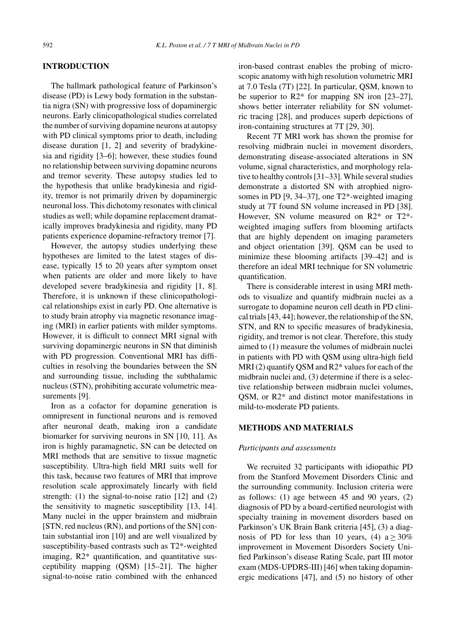#### **INTRODUCTION**

The hallmark pathological feature of Parkinson's disease (PD) is Lewy body formation in the substantia nigra (SN) with progressive loss of dopaminergic neurons. Early clinicopathological studies correlated the number of surviving dopamine neurons at autopsy with PD clinical symptoms prior to death, including disease duration [1, 2] and severity of bradykinesia and rigidity [3–6]; however, these studies found no relationship between surviving dopamine neurons and tremor severity. These autopsy studies led to the hypothesis that unlike bradykinesia and rigidity, tremor is not primarily driven by dopaminergic neuronal loss. This dichotomy resonates with clinical studies as well; while dopamine replacement dramatically improves bradykinesia and rigidity, many PD patients experience dopamine-refractory tremor [7].

However, the autopsy studies underlying these hypotheses are limited to the latest stages of disease, typically 15 to 20 years after symptom onset when patients are older and more likely to have developed severe bradykinesia and rigidity [1, 8]. Therefore, it is unknown if these clinicopathological relationships exist in early PD. One alternative is to study brain atrophy via magnetic resonance imaging (MRI) in earlier patients with milder symptoms. However, it is difficult to connect MRI signal with surviving dopaminergic neurons in SN that diminish with PD progression. Conventional MRI has difficulties in resolving the boundaries between the SN and surrounding tissue, including the subthalamic nucleus (STN), prohibiting accurate volumetric measurements [9].

Iron as a cofactor for dopamine generation is omnipresent in functional neurons and is removed after neuronal death, making iron a candidate biomarker for surviving neurons in SN [10, 11]. As iron is highly paramagnetic, SN can be detected on MRI methods that are sensitive to tissue magnetic susceptibility. Ultra-high field MRI suits well for this task, because two features of MRI that improve resolution scale approximately linearly with field strength: (1) the signal-to-noise ratio [12] and (2) the sensitivity to magnetic susceptibility [13, 14]. Many nuclei in the upper brainstem and midbrain [STN, red nucleus (RN), and portions of the SN] contain substantial iron [10] and are well visualized by susceptibility-based contrasts such as T2\*-weighted imaging, R2\* quantification, and quantitative susceptibility mapping (QSM) [15–21]. The higher signal-to-noise ratio combined with the enhanced

iron-based contrast enables the probing of microscopic anatomy with high resolution volumetric MRI at 7.0 Tesla (7T) [22]. In particular, QSM, known to be superior to R2\* for mapping SN iron [23–27], shows better interrater reliability for SN volumetric tracing [28], and produces superb depictions of iron-containing structures at 7T [29, 30].

Recent 7T MRI work has shown the promise for resolving midbrain nuclei in movement disorders, demonstrating disease-associated alterations in SN volume, signal characteristics, and morphology relative to healthy controls [31–33]. While several studies demonstrate a distorted SN with atrophied nigrosomes in PD [9, 34–37], one T2\*-weighted imaging study at 7T found SN volume increased in PD [38]. However, SN volume measured on R2\* or T2\* weighted imaging suffers from blooming artifacts that are highly dependent on imaging parameters and object orientation [39]. QSM can be used to minimize these blooming artifacts [39–42] and is therefore an ideal MRI technique for SN volumetric quantification.

There is considerable interest in using MRI methods to visualize and quantify midbrain nuclei as a surrogate to dopamine neuron cell death in PD clinical trials [43, 44]; however, the relationship of the SN, STN, and RN to specific measures of bradykinesia, rigidity, and tremor is not clear. Therefore, this study aimed to (1) measure the volumes of midbrain nuclei in patients with PD with QSM using ultra-high field MRI (2) quantify QSM and R2\* values for each of the midbrain nuclei and, (3) determine if there is a selective relationship between midbrain nuclei volumes, QSM, or R2\* and distinct motor manifestations in mild-to-moderate PD patients.

## **METHODS AND MATERIALS**

#### *Participants and assessments*

We recruited 32 participants with idiopathic PD from the Stanford Movement Disorders Clinic and the surrounding community. Inclusion criteria were as follows: (1) age between 45 and 90 years, (2) diagnosis of PD by a board-certified neurologist with specialty training in movement disorders based on Parkinson's UK Brain Bank criteria [45], (3) a diagnosis of PD for less than 10 years, (4)  $a \ge 30\%$ improvement in Movement Disorders Society Unified Parkinson's disease Rating Scale, part III motor exam (MDS-UPDRS-III) [46] when taking dopaminergic medications [47], and (5) no history of other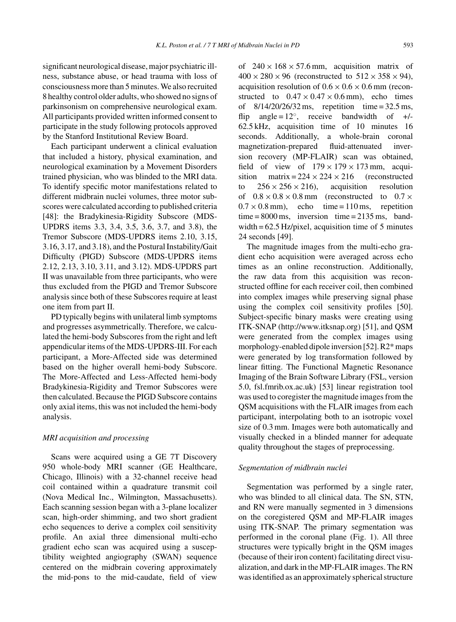significant neurological disease, major psychiatric illness, substance abuse, or head trauma with loss of consciousness more than 5 minutes. We also recruited 8 healthy control older adults, who showed no signs of parkinsonism on comprehensive neurological exam. All participants provided written informed consent to participate in the study following protocols approved by the Stanford Institutional Review Board.

Each participant underwent a clinical evaluation that included a history, physical examination, and neurological examination by a Movement Disorders trained physician, who was blinded to the MRI data. To identify specific motor manifestations related to different midbrain nuclei volumes, three motor subscores were calculated according to published criteria [48]: the Bradykinesia-Rigidity Subscore (MDS-UPDRS items 3.3, 3.4, 3.5, 3.6, 3.7, and 3.8), the Tremor Subscore (MDS-UPDRS items 2.10, 3.15, 3.16, 3.17, and 3.18), and the Postural Instability/Gait Difficulty (PIGD) Subscore (MDS-UPDRS items 2.12, 2.13, 3.10, 3.11, and 3.12). MDS-UPDRS part II was unavailable from three participants, who were thus excluded from the PIGD and Tremor Subscore analysis since both of these Subscores require at least one item from part II.

PD typically begins with unilateral limb symptoms and progresses asymmetrically. Therefore, we calculated the hemi-body Subscores from the right and left appendicular items of the MDS-UPDRS-III. For each participant, a More-Affected side was determined based on the higher overall hemi-body Subscore. The More-Affected and Less-Affected hemi-body Bradykinesia-Rigidity and Tremor Subscores were then calculated. Because the PIGD Subscore contains only axial items, this was not included the hemi-body analysis.

#### *MRI acquisition and processing*

Scans were acquired using a GE 7T Discovery 950 whole-body MRI scanner (GE Healthcare, Chicago, Illinois) with a 32-channel receive head coil contained within a quadrature transmit coil (Nova Medical Inc., Wilmington, Massachusetts). Each scanning session began with a 3-plane localizer scan, high-order shimming, and two short gradient echo sequences to derive a complex coil sensitivity profile. An axial three dimensional multi-echo gradient echo scan was acquired using a susceptibility weighted angiography (SWAN) sequence centered on the midbrain covering approximately the mid-pons to the mid-caudate, field of view of  $240 \times 168 \times 57.6$  mm, acquisition matrix of  $400 \times 280 \times 96$  (reconstructed to  $512 \times 358 \times 94$ ), acquisition resolution of  $0.6 \times 0.6 \times 0.6$  mm (reconstructed to  $0.47 \times 0.47 \times 0.6$  mm), echo times of  $8/14/20/26/32$  ms, repetition time = 32.5 ms, flip angle =  $12^\circ$ , receive bandwidth of +/-62.5 kHz, acquisition time of 10 minutes 16 seconds. Additionally, a whole-brain coronal magnetization-prepared fluid-attenuated inversion recovery (MP-FLAIR) scan was obtained, field of view of  $179 \times 179 \times 173$  mm, acquisition matrix =  $224 \times 224 \times 216$  (reconstructed sition matrix =  $224 \times 224 \times 216$  (reconstructed<br>to  $256 \times 256 \times 216$ ), acquisition resolution  $256 \times 256 \times 216$ , of  $0.8 \times 0.8 \times 0.8$  mm (reconstructed to  $0.7 \times 0.7 \times 0.8$  mm), echo time = 110 ms, repetition  $0.7 \times 0.8$  mm), echo time = 110 ms, time =  $8000 \text{ ms}$ , inversion time =  $2135 \text{ ms}$ , bandwidth = 62.5 Hz/pixel, acquisition time of 5 minutes 24 seconds [49].

The magnitude images from the multi-echo gradient echo acquisition were averaged across echo times as an online reconstruction. Additionally, the raw data from this acquisition was reconstructed offline for each receiver coil, then combined into complex images while preserving signal phase using the complex coil sensitivity profiles [50]. Subject-specific binary masks were creating using ITK-SNAP (<http://www.itksnap.org>) [51], and QSM were generated from the complex images using morphology-enabled dipole inversion [52]. R2\* maps were generated by log transformation followed by linear fitting. The Functional Magnetic Resonance Imaging of the Brain Software Library (FSL, version 5.0, fsl.fmrib.ox.ac.uk) [53] linear registration tool was used to coregister the magnitude images from the QSM acquisitions with the FLAIR images from each participant, interpolating both to an isotropic voxel size of 0.3 mm. Images were both automatically and visually checked in a blinded manner for adequate quality throughout the stages of preprocessing.

#### *Segmentation of midbrain nuclei*

Segmentation was performed by a single rater, who was blinded to all clinical data. The SN, STN, and RN were manually segmented in 3 dimensions on the coregistered QSM and MP-FLAIR images using ITK-SNAP. The primary segmentation was performed in the coronal plane (Fig. 1). All three structures were typically bright in the QSM images (because of their iron content) facilitating direct visualization, and dark in the MP-FLAIR images. The RN was identified as an approximately spherical structure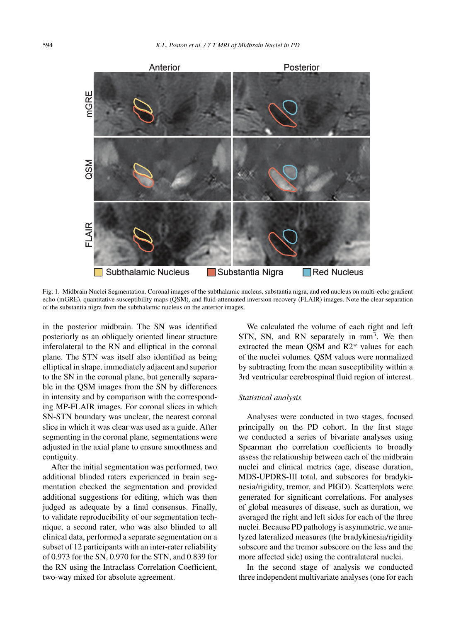

Fig. 1. Midbrain Nuclei Segmentation. Coronal images of the subthalamic nucleus, substantia nigra, and red nucleus on multi-echo gradient echo (mGRE), quantitative susceptibility maps (QSM), and fluid-attenuated inversion recovery (FLAIR) images. Note the clear separation of the substantia nigra from the subthalamic nucleus on the anterior images.

in the posterior midbrain. The SN was identified posteriorly as an obliquely oriented linear structure inferolateral to the RN and elliptical in the coronal plane. The STN was itself also identified as being elliptical in shape, immediately adjacent and superior to the SN in the coronal plane, but generally separable in the QSM images from the SN by differences in intensity and by comparison with the corresponding MP-FLAIR images. For coronal slices in which SN-STN boundary was unclear, the nearest coronal slice in which it was clear was used as a guide. After segmenting in the coronal plane, segmentations were adjusted in the axial plane to ensure smoothness and contiguity.

After the initial segmentation was performed, two additional blinded raters experienced in brain segmentation checked the segmentation and provided additional suggestions for editing, which was then judged as adequate by a final consensus. Finally, to validate reproducibility of our segmentation technique, a second rater, who was also blinded to all clinical data, performed a separate segmentation on a subset of 12 participants with an inter-rater reliability of 0.973 for the SN, 0.970 for the STN, and 0.839 for the RN using the Intraclass Correlation Coefficient, two-way mixed for absolute agreement.

We calculated the volume of each right and left STN, SN, and RN separately in mm<sup>3</sup>. We then extracted the mean QSM and R2\* values for each of the nuclei volumes. QSM values were normalized by subtracting from the mean susceptibility within a 3rd ventricular cerebrospinal fluid region of interest.

#### *Statistical analysis*

Analyses were conducted in two stages, focused principally on the PD cohort. In the first stage we conducted a series of bivariate analyses using Spearman rho correlation coefficients to broadly assess the relationship between each of the midbrain nuclei and clinical metrics (age, disease duration, MDS-UPDRS-III total, and subscores for bradykinesia/rigidity, tremor, and PIGD). Scatterplots were generated for significant correlations. For analyses of global measures of disease, such as duration, we averaged the right and left sides for each of the three nuclei. Because PD pathology is asymmetric, we analyzed lateralized measures (the bradykinesia/rigidity subscore and the tremor subscore on the less and the more affected side) using the contralateral nuclei.

In the second stage of analysis we conducted three independent multivariate analyses (one for each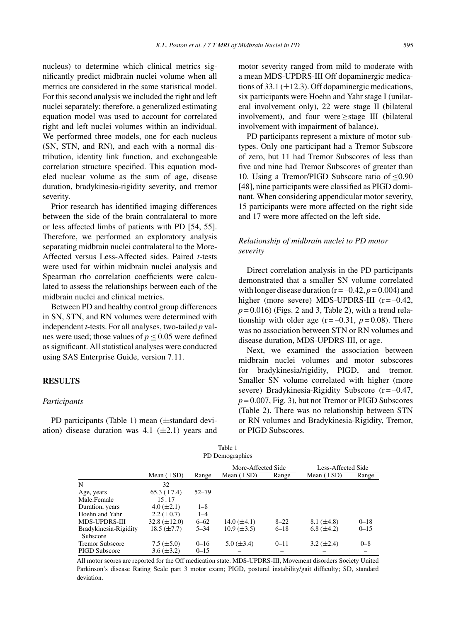nucleus) to determine which clinical metrics significantly predict midbrain nuclei volume when all metrics are considered in the same statistical model. For this second analysis we included the right and left nuclei separately; therefore, a generalized estimating equation model was used to account for correlated right and left nuclei volumes within an individual. We performed three models, one for each nucleus (SN, STN, and RN), and each with a normal distribution, identity link function, and exchangeable correlation structure specified. This equation modeled nuclear volume as the sum of age, disease duration, bradykinesia-rigidity severity, and tremor severity.

Prior research has identified imaging differences between the side of the brain contralateral to more or less affected limbs of patients with PD [54, 55]. Therefore, we performed an exploratory analysis separating midbrain nuclei contralateral to the More-Affected versus Less-Affected sides. Paired *t*-tests were used for within midbrain nuclei analysis and Spearman rho correlation coefficients were calculated to assess the relationships between each of the midbrain nuclei and clinical metrics.

Between PD and healthy control group differences in SN, STN, and RN volumes were determined with independent *t*-tests. For all analyses, two-tailed *p* values were used; those values of  $p \le 0.05$  were defined as significant. All statistical analyses were conducted using SAS Enterprise Guide, version 7.11.

#### **RESULTS**

#### *Participants*

PD participants (Table 1) mean (±standard deviation) disease duration was 4.1  $(\pm 2.1)$  years and motor severity ranged from mild to moderate with a mean MDS-UPDRS-III Off dopaminergic medications of 33.1 ( $\pm$ 12.3). Off dopaminergic medications, six participants were Hoehn and Yahr stage I (unilateral involvement only), 22 were stage II (bilateral involvement), and four were ≥stage III (bilateral involvement with impairment of balance).

PD participants represent a mixture of motor subtypes. Only one participant had a Tremor Subscore of zero, but 11 had Tremor Subscores of less than five and nine had Tremor Subscores of greater than 10. Using a Tremor/PIGD Subscore ratio of ≤0.90 [48], nine participants were classified as PIGD dominant. When considering appendicular motor severity, 15 participants were more affected on the right side and 17 were more affected on the left side.

#### *Relationship of midbrain nuclei to PD motor severity*

Direct correlation analysis in the PD participants demonstrated that a smaller SN volume correlated with longer disease duration ( $r = -0.42$ ,  $p = 0.004$ ) and higher (more severe) MDS-UPDRS-III  $(r = -0.42)$ ,  $p = 0.016$ ) (Figs. 2 and 3, Table 2), with a trend relationship with older age  $(r = -0.31, p = 0.08)$ . There was no association between STN or RN volumes and disease duration, MDS-UPDRS-III, or age.

Next, we examined the association between midbrain nuclei volumes and motor subscores for bradykinesia/rigidity, PIGD, and tremor. Smaller SN volume correlated with higher (more severe) Bradykinesia-Rigidity Subscore  $(r = -0.47)$ ,  $p = 0.007$ , Fig. 3), but not Tremor or PIGD Subscores (Table 2). There was no relationship between STN or RN volumes and Bradykinesia-Rigidity, Tremor, or PIGD Subscores.

| Table 1               |                    |           |                    |          |                    |          |  |  |  |  |
|-----------------------|--------------------|-----------|--------------------|----------|--------------------|----------|--|--|--|--|
| PD Demographics       |                    |           |                    |          |                    |          |  |  |  |  |
|                       |                    |           | More-Affected Side |          | Less-Affected Side |          |  |  |  |  |
|                       | Mean $(\pm SD)$    | Range     | Mean $(\pm SD)$    | Range    | Mean $(\pm SD)$    | Range    |  |  |  |  |
| N                     | 32                 |           |                    |          |                    |          |  |  |  |  |
| Age, years            | 65.3 $(\pm 7.4)$   | $52 - 79$ |                    |          |                    |          |  |  |  |  |
| Male:Female           | 15:17              |           |                    |          |                    |          |  |  |  |  |
| Duration, years       | $4.0 (\pm 2.1)$    | $1 - 8$   |                    |          |                    |          |  |  |  |  |
| Hoehn and Yahr        | $2.2 \ (\pm 0.7)$  | $1 - 4$   |                    |          |                    |          |  |  |  |  |
| MDS-UPDRS-III         | $32.8 (\pm 12.0)$  | $6 - 62$  | $14.0 (\pm 4.1)$   | $8 - 22$ | 8.1 $(\pm 4.8)$    | $0 - 18$ |  |  |  |  |
| Bradykinesia-Rigidity | $18.5 \ (\pm 7.7)$ | $5 - 34$  | $10.9 \ (\pm 3.5)$ | $6 - 18$ | $6.8 \ (\pm 4.2)$  | $0 - 15$ |  |  |  |  |
| Subscore              |                    |           |                    |          |                    |          |  |  |  |  |
| Tremor Subscore       | $7.5 (\pm 5.0)$    | $0 - 16$  | $5.0 (\pm 3.4)$    | $0 - 11$ | $3.2 \ (\pm 2.4)$  | $0 - 8$  |  |  |  |  |
| <b>PIGD Subscore</b>  | $3.6 (\pm 3.2)$    | $0 - 15$  |                    |          |                    |          |  |  |  |  |

All motor scores are reported for the Off medication state. MDS-UPDRS-III, Movement disorders Society United Parkinson's disease Rating Scale part 3 motor exam; PIGD, postural instability/gait difficulty; SD, standard deviation.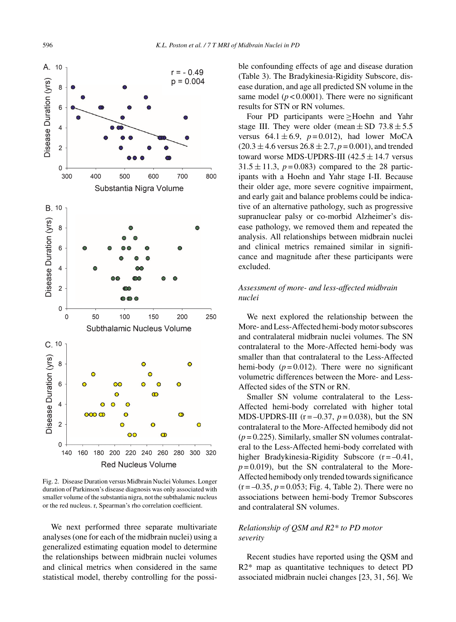

Fig. 2. Disease Duration versus Midbrain Nuclei Volumes. Longer duration of Parkinson's disease diagnosis was only associated with smaller volume of the substantia nigra, not the subthalamic nucleus or the red nucleus. r, Spearman's rho correlation coefficient.

We next performed three separate multivariate analyses (one for each of the midbrain nuclei) using a generalized estimating equation model to determine the relationships between midbrain nuclei volumes and clinical metrics when considered in the same statistical model, thereby controlling for the possible confounding effects of age and disease duration (Table 3). The Bradykinesia-Rigidity Subscore, disease duration, and age all predicted SN volume in the same model  $(p < 0.0001)$ . There were no significant results for STN or RN volumes.

Four PD participants were ≥Hoehn and Yahr stage III. They were older (mean  $\pm$  SD 73.8  $\pm$  5.5 versus  $64.1 \pm 6.9$ ,  $p = 0.012$ ), had lower MoCA  $(20.3 \pm 4.6 \text{ versus } 26.8 \pm 2.7, p = 0.001)$ , and trended toward worse MDS-UPDRS-III  $(42.5 \pm 14.7 \text{ versus}$  $31.5 \pm 11.3$ ,  $p = 0.083$ ) compared to the 28 participants with a Hoehn and Yahr stage I-II. Because their older age, more severe cognitive impairment, and early gait and balance problems could be indicative of an alternative pathology, such as progressive supranuclear palsy or co-morbid Alzheimer's disease pathology, we removed them and repeated the analysis. All relationships between midbrain nuclei and clinical metrics remained similar in significance and magnitude after these participants were excluded.

# *Assessment of more- and less-affected midbrain nuclei*

We next explored the relationship between the More- and Less-Affected hemi-body motor subscores and contralateral midbrain nuclei volumes. The SN contralateral to the More-Affected hemi-body was smaller than that contralateral to the Less-Affected hemi-body  $(p=0.012)$ . There were no significant volumetric differences between the More- and Less-Affected sides of the STN or RN.

Smaller SN volume contralateral to the Less-Affected hemi-body correlated with higher total MDS-UPDRS-III ( $r = -0.37$ ,  $p = 0.038$ ), but the SN contralateral to the More-Affected hemibody did not  $(p=0.225)$ . Similarly, smaller SN volumes contralateral to the Less-Affected hemi-body correlated with higher Bradykinesia-Rigidity Subscore  $(r = -0.41,$  $p = 0.019$ , but the SN contralateral to the More-Affected hemibody only trended towards significance  $(r = -0.35, p = 0.053; Fig. 4, Table 2)$ . There were no associations between hemi-body Tremor Subscores and contralateral SN volumes.

# *Relationship of QSM and R2\* to PD motor severity*

Recent studies have reported using the QSM and R2\* map as quantitative techniques to detect PD associated midbrain nuclei changes [23, 31, 56]. We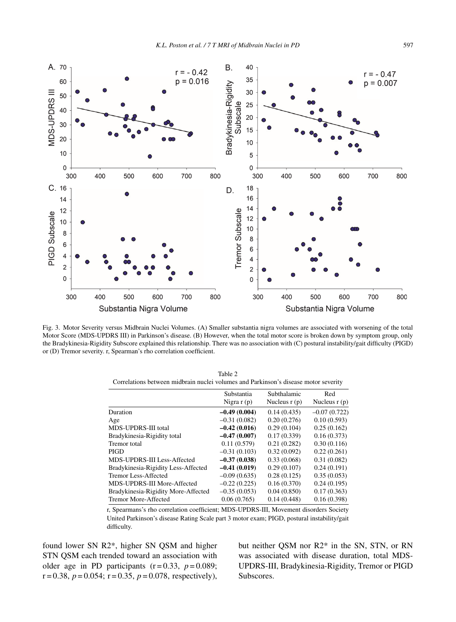

Fig. 3. Motor Severity versus Midbrain Nuclei Volumes. (A) Smaller substantia nigra volumes are associated with worsening of the total Motor Score (MDS-UPDRS III) in Parkinson's disease. (B) However, when the total motor score is broken down by symptom group, only the Bradykinesia-Rigidity Subscore explained this relationship. There was no association with (C) postural instability/gait difficulty (PIGD) or (D) Tremor severity. r, Spearman's rho correlation coefficient.

| Table 2                                                                             |  |
|-------------------------------------------------------------------------------------|--|
| Correlations between midbrain nuclei volumes and Parkinson's disease motor severity |  |

|                                     | Subthalamic<br>Substantia |                | Red            |  |
|-------------------------------------|---------------------------|----------------|----------------|--|
|                                     | Nigra $r(p)$              | Nucleus $r(p)$ | Nucleus $r(p)$ |  |
| Duration                            | $-0.49(0.004)$            | 0.14(0.435)    | $-0.07(0.722)$ |  |
| Age                                 | $-0.31(0.082)$            | 0.20(0.276)    | 0.10(0.593)    |  |
| MDS-UPDRS-III total                 | $-0.42(0.016)$            | 0.29(0.104)    | 0.25(0.162)    |  |
| Bradykinesia-Rigidity total         | $-0.47(0.007)$            | 0.17(0.339)    | 0.16(0.373)    |  |
| Tremor total                        | 0.11(0.579)               | 0.21(0.282)    | 0.30(0.116)    |  |
| PIGD                                | $-0.31(0.103)$            | 0.32(0.092)    | 0.22(0.261)    |  |
| <b>MDS-UPDRS-III Less-Affected</b>  | $-0.37(0.038)$            | 0.33(0.068)    | 0.31(0.082)    |  |
| Bradykinesia-Rigidity Less-Affected | $-0.41(0.019)$            | 0.29(0.107)    | 0.24(0.191)    |  |
| Tremor Less-Affected                | $-0.09(0.635)$            | 0.28(0.125)    | 0.35(0.053)    |  |
| <b>MDS-UPDRS-III More-Affected</b>  | $-0.22(0.225)$            | 0.16(0.370)    | 0.24(0.195)    |  |
| Bradykinesia-Rigidity More-Affected | $-0.35(0.053)$            | 0.04(0.850)    | 0.17(0.363)    |  |
| <b>Tremor More-Affected</b>         | 0.06(0.765)               | 0.14(0.448)    | 0.16(0.398)    |  |

r, Spearmans's rho correlation coefficient; MDS-UPDRS-III, Movement disorders Society United Parkinson's disease Rating Scale part 3 motor exam; PIGD, postural instability/gait difficulty.

found lower SN R2\*, higher SN QSM and higher STN QSM each trended toward an association with older age in PD participants  $(r=0.33, p=0.089)$ ;  $r = 0.38$ ,  $p = 0.054$ ;  $r = 0.35$ ,  $p = 0.078$ , respectively), but neither QSM nor R2\* in the SN, STN, or RN was associated with disease duration, total MDS-UPDRS-III, Bradykinesia-Rigidity, Tremor or PIGD Subscores.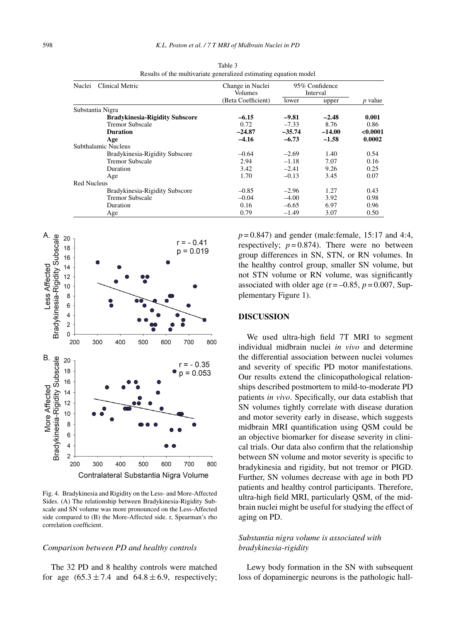| Clinical Metric<br>Nuclei             | Change in Nuclei<br>Volumes | 95% Confidence<br>Interval |          |                |
|---------------------------------------|-----------------------------|----------------------------|----------|----------------|
|                                       | (Beta Coefficient)          | lower                      | upper    | <i>p</i> value |
| Substantia Nigra                      |                             |                            |          |                |
| <b>Bradykinesia-Rigidity Subscore</b> | $-6.15$                     | $-9.81$                    | $-2.48$  | 0.001          |
| Tremor Subscale                       | 0.72                        | $-7.33$                    | 8.76     | 0.86           |
| <b>Duration</b>                       | $-24.87$                    | $-35.74$                   | $-14.00$ | < 0.0001       |
| Age                                   | $-4.16$                     | $-6.73$                    | $-1.58$  | 0.0002         |
| Subthalamic Nucleus                   |                             |                            |          |                |
| Bradykinesia-Rigidity Subscore        | $-0.64$                     | $-2.69$                    | 1.40     | 0.54           |
| Tremor Subscale                       | 2.94                        | $-1.18$                    | 7.07     | 0.16           |
| Duration                              | 3.42                        | $-2.41$                    | 9.26     | 0.25           |
| Age                                   | 1.70                        | $-0.13$                    | 3.45     | 0.07           |
| <b>Red Nucleus</b>                    |                             |                            |          |                |
| Bradykinesia-Rigidity Subscore        | $-0.85$                     | $-2.96$                    | 1.27     | 0.43           |
| <b>Tremor Subscale</b>                | $-0.04$                     | $-4.00$                    | 3.92     | 0.98           |
| Duration                              | 0.16                        | $-6.65$                    | 6.97     | 0.96           |
| Age                                   | 0.79                        | $-1.49$                    | 3.07     | 0.50           |

Table 3 Results of the multivariate generalized estimating equation model



Fig. 4. Bradykinesia and Rigidity on the Less- and More-Affected Sides. (A) The relationship between Bradykinesia-Rigidity Subscale and SN volume was more pronounced on the Less-Affected side compared to (B) the More-Affected side. r, Spearman's rho correlation coefficient.

#### *Comparison between PD and healthy controls*

The 32 PD and 8 healthy controls were matched for age  $(65.3 \pm 7.4$  and  $64.8 \pm 6.9$ , respectively;

 $p = 0.847$ ) and gender (male:female, 15:17 and 4:4, respectively;  $p = 0.874$ ). There were no between group differences in SN, STN, or RN volumes. In the healthy control group, smaller SN volume, but not STN volume or RN volume, was significantly associated with older age  $(r = -0.85, p = 0.007, Sup$ plementary Figure 1).

#### **DISCUSSION**

We used ultra-high field 7T MRI to segment individual midbrain nuclei *in vivo* and determine the differential association between nuclei volumes and severity of specific PD motor manifestations. Our results extend the clinicopathological relationships described postmortem to mild-to-moderate PD patients *in vivo*. Specifically, our data establish that SN volumes tightly correlate with disease duration and motor severity early in disease, which suggests midbrain MRI quantification using QSM could be an objective biomarker for disease severity in clinical trials. Our data also confirm that the relationship between SN volume and motor severity is specific to bradykinesia and rigidity, but not tremor or PIGD. Further, SN volumes decrease with age in both PD patients and healthy control participants. Therefore, ultra-high field MRI, particularly QSM, of the midbrain nuclei might be useful for studying the effect of aging on PD.

#### *Substantia nigra volume is associated with bradykinesia-rigidity*

Lewy body formation in the SN with subsequent loss of dopaminergic neurons is the pathologic hall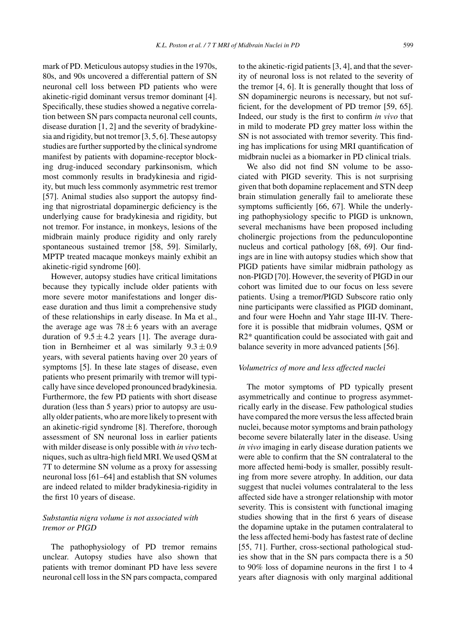mark of PD. Meticulous autopsy studies in the 1970s, 80s, and 90s uncovered a differential pattern of SN neuronal cell loss between PD patients who were akinetic-rigid dominant versus tremor dominant [4]. Specifically, these studies showed a negative correlation between SN pars compacta neuronal cell counts, disease duration [1, 2] and the severity of bradykinesia and rigidity, but not tremor [3, 5, 6]. These autopsy studies are further supported by the clinical syndrome manifest by patients with dopamine-receptor blocking drug-induced secondary parkinsonism, which most commonly results in bradykinesia and rigidity, but much less commonly asymmetric rest tremor [57]. Animal studies also support the autopsy finding that nigrostriatal dopaminergic deficiency is the underlying cause for bradykinesia and rigidity, but not tremor. For instance, in monkeys, lesions of the midbrain mainly produce rigidity and only rarely spontaneous sustained tremor [58, 59]. Similarly, MPTP treated macaque monkeys mainly exhibit an akinetic-rigid syndrome [60].

However, autopsy studies have critical limitations because they typically include older patients with more severe motor manifestations and longer disease duration and thus limit a comprehensive study of these relationships in early disease. In Ma et al., the average age was  $78 \pm 6$  years with an average duration of  $9.5 \pm 4.2$  years [1]. The average duration in Bernheimer et al was similarly  $9.3 \pm 0.9$ years, with several patients having over 20 years of symptoms [5]. In these late stages of disease, even patients who present primarily with tremor will typically have since developed pronounced bradykinesia. Furthermore, the few PD patients with short disease duration (less than 5 years) prior to autopsy are usually older patients, who are more likely to present with an akinetic-rigid syndrome [8]. Therefore, thorough assessment of SN neuronal loss in earlier patients with milder disease is only possible with *in vivo* techniques, such as ultra-high field MRI. We used QSM at 7T to determine SN volume as a proxy for assessing neuronal loss [61–64] and establish that SN volumes are indeed related to milder bradykinesia-rigidity in the first 10 years of disease.

# *Substantia nigra volume is not associated with tremor or PIGD*

The pathophysiology of PD tremor remains unclear. Autopsy studies have also shown that patients with tremor dominant PD have less severe neuronal cell loss in the SN pars compacta, compared

to the akinetic-rigid patients [3, 4], and that the severity of neuronal loss is not related to the severity of the tremor [4, 6]. It is generally thought that loss of SN dopaminergic neurons is necessary, but not sufficient, for the development of PD tremor [59, 65]. Indeed, our study is the first to confirm *in vivo* that in mild to moderate PD grey matter loss within the SN is not associated with tremor severity. This finding has implications for using MRI quantification of midbrain nuclei as a biomarker in PD clinical trials.

We also did not find SN volume to be associated with PIGD severity. This is not surprising given that both dopamine replacement and STN deep brain stimulation generally fail to ameliorate these symptoms sufficiently [66, 67]. While the underlying pathophysiology specific to PIGD is unknown, several mechanisms have been proposed including cholinergic projections from the pedunculopontine nucleus and cortical pathology [68, 69]. Our findings are in line with autopsy studies which show that PIGD patients have similar midbrain pathology as non-PIGD [70]. However, the severity of PIGD in our cohort was limited due to our focus on less severe patients. Using a tremor/PIGD Subscore ratio only nine participants were classified as PIGD dominant, and four were Hoehn and Yahr stage III-IV. Therefore it is possible that midbrain volumes, QSM or R2\* quantification could be associated with gait and balance severity in more advanced patients [56].

#### *Volumetrics of more and less affected nuclei*

The motor symptoms of PD typically present asymmetrically and continue to progress asymmetrically early in the disease. Few pathological studies have compared the more versus the less affected brain nuclei, because motor symptoms and brain pathology become severe bilaterally later in the disease. Using *in vivo* imaging in early disease duration patients we were able to confirm that the SN contralateral to the more affected hemi-body is smaller, possibly resulting from more severe atrophy. In addition, our data suggest that nuclei volumes contralateral to the less affected side have a stronger relationship with motor severity. This is consistent with functional imaging studies showing that in the first 6 years of disease the dopamine uptake in the putamen contralateral to the less affected hemi-body has fastest rate of decline [55, 71]. Further, cross-sectional pathological studies show that in the SN pars compacta there is a 50 to 90% loss of dopamine neurons in the first 1 to 4 years after diagnosis with only marginal additional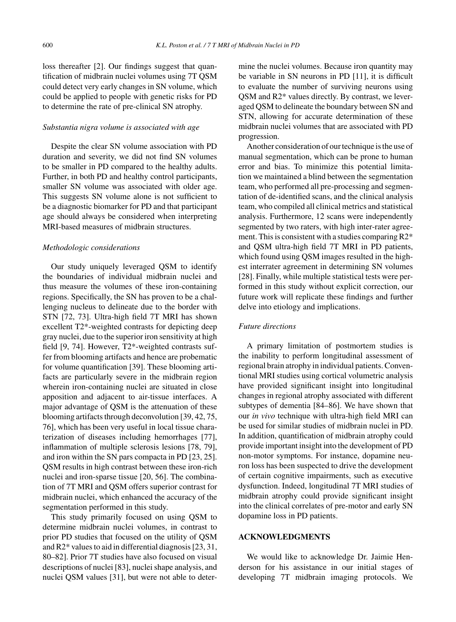loss thereafter [2]. Our findings suggest that quantification of midbrain nuclei volumes using 7T QSM could detect very early changes in SN volume, which could be applied to people with genetic risks for PD to determine the rate of pre-clinical SN atrophy.

#### *Substantia nigra volume is associated with age*

Despite the clear SN volume association with PD duration and severity, we did not find SN volumes to be smaller in PD compared to the healthy adults. Further, in both PD and healthy control participants, smaller SN volume was associated with older age. This suggests SN volume alone is not sufficient to be a diagnostic biomarker for PD and that participant age should always be considered when interpreting MRI-based measures of midbrain structures.

#### *Methodologic considerations*

Our study uniquely leveraged QSM to identify the boundaries of individual midbrain nuclei and thus measure the volumes of these iron-containing regions. Specifically, the SN has proven to be a challenging nucleus to delineate due to the border with STN [72, 73]. Ultra-high field 7T MRI has shown excellent T2\*-weighted contrasts for depicting deep gray nuclei, due to the superior iron sensitivity at high field [9, 74]. However, T2\*-weighted contrasts suffer from blooming artifacts and hence are probematic for volume quantification [39]. These blooming artifacts are particularly severe in the midbrain region wherein iron-containing nuclei are situated in close apposition and adjacent to air-tissue interfaces. A major advantage of QSM is the attenuation of these blooming artifacts through deconvolution [39, 42, 75, 76], which has been very useful in local tissue charaterization of diseases including hemorrhages [77], inflammation of multiple sclerosis lesions [78, 79], and iron within the SN pars compacta in PD [23, 25]. QSM results in high contrast between these iron-rich nuclei and iron-sparse tissue [20, 56]. The combination of 7T MRI and QSM offers superior contrast for midbrain nuclei, which enhanced the accuracy of the segmentation performed in this study.

This study primarily focused on using QSM to determine midbrain nuclei volumes, in contrast to prior PD studies that focused on the utility of QSM and R2\* values to aid in differential diagnosis [23, 31, 80–82]. Prior 7T studies have also focused on visual descriptions of nuclei [83], nuclei shape analysis, and nuclei QSM values [31], but were not able to determine the nuclei volumes. Because iron quantity may be variable in SN neurons in PD [11], it is difficult to evaluate the number of surviving neurons using QSM and R2\* values directly. By contrast, we leveraged QSM to delineate the boundary between SN and STN, allowing for accurate determination of these midbrain nuclei volumes that are associated with PD progression.

Another consideration of our technique is the use of manual segmentation, which can be prone to human error and bias. To minimize this potential limitation we maintained a blind between the segmentation team, who performed all pre-processing and segmentation of de-identified scans, and the clinical analysis team, who compiled all clinical metrics and statistical analysis. Furthermore, 12 scans were independently segmented by two raters, with high inter-rater agreement. This is consistent with a studies comparing R2\* and QSM ultra-high field 7T MRI in PD patients, which found using QSM images resulted in the highest interrater agreement in determining SN volumes [28]. Finally, while multiple statistical tests were performed in this study without explicit correction, our future work will replicate these findings and further delve into etiology and implications.

#### *Future directions*

A primary limitation of postmortem studies is the inability to perform longitudinal assessment of regional brain atrophy in individual patients. Conventional MRI studies using cortical volumetric analysis have provided significant insight into longitudinal changes in regional atrophy associated with different subtypes of dementia [84–86]. We have shown that our *in vivo* technique with ultra-high field MRI can be used for similar studies of midbrain nuclei in PD. In addition, quantification of midbrain atrophy could provide important insight into the development of PD non-motor symptoms. For instance, dopamine neuron loss has been suspected to drive the development of certain cognitive impairments, such as executive dysfunction. Indeed, longitudinal 7T MRI studies of midbrain atrophy could provide significant insight into the clinical correlates of pre-motor and early SN dopamine loss in PD patients.

#### **ACKNOWLEDGMENTS**

We would like to acknowledge Dr. Jaimie Henderson for his assistance in our initial stages of developing 7T midbrain imaging protocols. We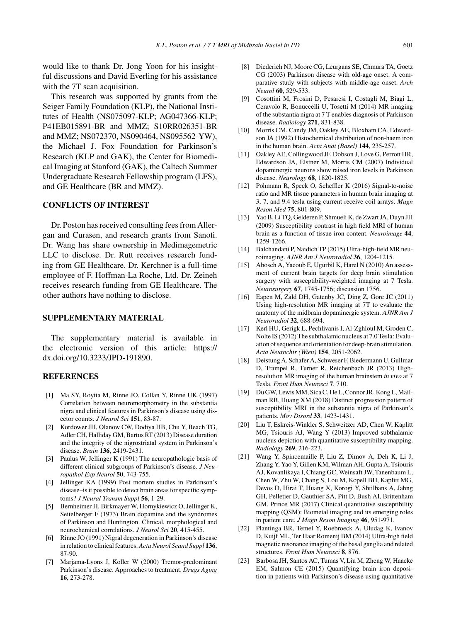would like to thank Dr. Jong Yoon for his insightful discussions and David Everling for his assistance with the 7T scan acquisition.

This research was supported by grants from the Seiger Family Foundation (KLP), the National Institutes of Health (NS075097-KLP; AG047366-KLP; P41EB015891-BR and MMZ; S10RR026351-BR and MMZ; NS072370, NS090464, NS095562-YW), the Michael J. Fox Foundation for Parkinson's Research (KLP and GAK), the Center for Biomedical Imaging at Stanford (GAK), the Caltech Summer Undergraduate Research Fellowship program (LFS), and GE Healthcare (BR and MMZ).

#### **CONFLICTS OF INTEREST**

Dr. Poston has received consulting fees from Allergan and Curasen, and research grants from Sanofi. Dr. Wang has share ownership in Medimagemetric LLC to disclose. Dr. Rutt receives research funding from GE Healthcare. Dr. Kerchner is a full-time employee of F. Hoffman-La Roche, Ltd. Dr. Zeineh receives research funding from GE Healthcare. The other authors have nothing to disclose.

#### **SUPPLEMENTARY MATERIAL**

The supplementary material is available in the electronic version of this article: [https://](https://dx.doi.org/10.3233/JPD-191890) [dx.doi.org/10.3233/JPD-191890](https://dx.doi.org/10.3233/JPD-191890).

#### **REFERENCES**

- [1] Ma SY, Roytta M, Rinne JO, Collan Y, Rinne UK (1997) Correlation between neuromorphometry in the substantia nigra and clinical features in Parkinson's disease using disector counts. *J Neurol Sci* **151**, 83-87.
- [2] Kordower JH, Olanow CW, Dodiya HB, Chu Y, Beach TG, Adler CH, Halliday GM, Bartus RT (2013) Disease duration and the integrity of the nigrostriatal system in Parkinson's disease. *Brain* **136**, 2419-2431.
- [3] Paulus W, Jellinger K (1991) The neuropathologic basis of different clinical subgroups of Parkinson's disease. *J Neuropathol Exp Neurol* **50**, 743-755.
- [4] Jellinger KA (1999) Post mortem studies in Parkinson's disease–is it possible to detect brain areas for specific symptoms? *J Neural Transm Suppl* **56**, 1-29.
- [5] Bernheimer H, Birkmayer W, Hornykiewicz O, Jellinger K, Seitelberger F (1973) Brain dopamine and the syndromes of Parkinson and Huntington. Clinical, morphological and neurochemical correlations. *J Neurol Sci* **20**, 415-455.
- [6] Rinne JO (1991) Nigral degeneration in Parkinson's disease in relation to clinical features. *Acta Neurol Scand Suppl* **136**, 87-90.
- [7] Marjama-Lyons J, Koller W (2000) Tremor-predominant Parkinson's disease. Approaches to treatment. *Drugs Aging* **16**, 273-278.
- [8] Diederich NJ, Moore CG, Leurgans SE, Chmura TA, Goetz CG (2003) Parkinson disease with old-age onset: A comparative study with subjects with middle-age onset. *Arch Neurol* **60**, 529-533.
- [9] Cosottini M, Frosini D, Pesaresi I, Costagli M, Biagi L, Ceravolo R, Bonuccelli U, Tosetti M (2014) MR imaging of the substantia nigra at 7 T enables diagnosis of Parkinson disease. *Radiology* **271**, 831-838.
- [10] Morris CM, Candy JM, Oakley AE, Bloxham CA, Edwardson JA (1992) Histochemical distribution of non-haem iron in the human brain. *Acta Anat (Basel)* **144**, 235-257.
- [11] Oakley AE, Collingwood JF, Dobson J, Love G, Perrott HR, Edwardson JA, Elstner M, Morris CM (2007) Individual dopaminergic neurons show raised iron levels in Parkinson disease. *Neurology* **68**, 1820-1825.
- [12] Pohmann R, Speck O, Scheffler K (2016) Signal-to-noise ratio and MR tissue parameters in human brain imaging at 3, 7, and 9.4 tesla using current receive coil arrays. *Magn Reson Med* **75**, 801-809.
- [13] Yao B, Li TQ, Gelderen P, Shmueli K, de Zwart JA, Duyn JH (2009) Susceptibility contrast in high field MRI of human brain as a function of tissue iron content. *Neuroimage* **44**, 1259-1266.
- [14] Balchandani P, Naidich TP (2015) Ultra-high-field MR neuroimaging. *AJNR Am J Neuroradiol* **36**, 1204-1215.
- [15] Abosch A, Yacoub E, Ugurbil K, Harel N (2010) An assessment of current brain targets for deep brain stimulation surgery with susceptibility-weighted imaging at 7 Tesla. *Neurosurgery* **67**, 1745-1756; discussion 1756.
- [16] Eapen M, Zald DH, Gatenby JC, Ding Z, Gore JC (2011) Using high-resolution MR imaging at 7T to evaluate the anatomy of the midbrain dopaminergic system. *AJNR Am J Neuroradiol* **32**, 688-694.
- [17] Kerl HU, Gerigk L, Pechlivanis I, Al-Zghloul M, Groden C, Nolte IS (2012) The subthalamic nucleus at 7.0 Tesla: Evaluation of sequence and orientation for deep-brain stimulation. *Acta Neurochir (Wien)* **154**, 2051-2062.
- [18] Deistung A, Schafer A, Schweser F, Biedermann U, Gullmar D, Trampel R, Turner R, Reichenbach JR (2013) Highresolution MR imaging of the human brainstem *in vivo* at 7 Tesla. *Front Hum Neurosci* **7**, 710.
- [19] Du GW, Lewis MM, Sica C, He L, Connor JR, Kong L, Mailman RB, Huang XM (2018) Distinct progression pattern of susceptibility MRI in the substantia nigra of Parkinson's patients. *Mov Disord* **33**, 1423-1431.
- [20] Liu T, Eskreis-Winkler S, Schweitzer AD, Chen W, Kaplitt MG, Tsiouris AJ, Wang Y (2013) Improved subthalamic nucleus depiction with quantitative susceptibility mapping. *Radiology* **269**, 216-223.
- [21] Wang Y, Spincemaille P, Liu Z, Dimov A, Deh K, Li J, Zhang Y, Yao Y, Gillen KM, Wilman AH, Gupta A, Tsiouris AJ, Kovanlikaya I, Chiang GC, Weinsaft JW, Tanenbaum L, Chen W, Zhu W, Chang S, Lou M, Kopell BH, Kaplitt MG, Devos D, Hirai T, Huang X, Korogi Y, Shtilbans A, Jahng GH, Pelletier D, Gauthier SA, Pitt D, Bush AI, Brittenham GM, Prince MR (2017) Clinical quantitative susceptibility mapping (QSM): Biometal imaging and its emerging roles in patient care. *J Magn Reson Imaging* **46**, 951-971.
- [22] Plantinga BR, Temel Y, Roebroeck A, Uludag K, Ivanov D, Kuijf ML, Ter Haar Romenij BM (2014) Ultra-high field magnetic resonance imaging of the basal ganglia and related structures. *Front Hum Neurosci* **8**, 876.
- [23] Barbosa JH, Santos AC, Tumas V, Liu M, Zheng W, Haacke EM, Salmon CE (2015) Quantifying brain iron deposition in patients with Parkinson's disease using quantitative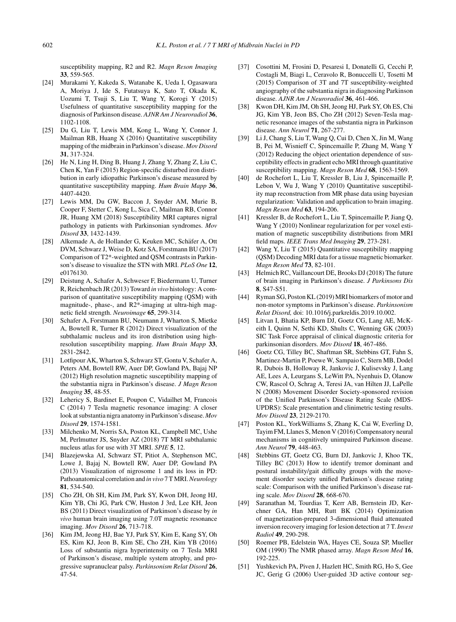susceptibility mapping, R2 and R2. *Magn Reson Imaging* **33**, 559-565.

- [24] Murakami Y, Kakeda S, Watanabe K, Ueda I, Ogasawara A, Moriya J, Ide S, Futatsuya K, Sato T, Okada K, Uozumi T, Tsuji S, Liu T, Wang Y, Korogi Y (2015) Usefulness of quantitative susceptibility mapping for the diagnosis of Parkinson disease. *AJNR Am J Neuroradiol* **36**, 1102-1108.
- [25] Du G, Liu T, Lewis MM, Kong L, Wang Y, Connor J, Mailman RB, Huang X (2016) Quantitative susceptibility mapping of the midbrain in Parkinson's disease. *Mov Disord* **31**, 317-324.
- [26] He N, Ling H, Ding B, Huang J, Zhang Y, Zhang Z, Liu C, Chen K, Yan F (2015) Region-specific disturbed iron distribution in early idiopathic Parkinson's disease measured by quantitative susceptibility mapping. *Hum Brain Mapp* **36**, 4407-4420.
- [27] Lewis MM, Du GW, Baccon J, Snyder AM, Murie B, Cooper F, Stetter C, Kong L, Sica C, Mailman RB, Connor JR, Huang XM (2018) Susceptibility MRI captures nigral pathology in patients with Parkinsonian syndromes. *Mov Disord* **33**, 1432-1439.
- [28] Alkemade A, de Hollander G, Keuken MC, Schäfer A, Ott DVM, Schwarz J, Weise D, Kotz SA, Forstmann BU (2017) Comparison of T2\*-weighted and QSM contrasts in Parkinson's disease to visualize the STN with MRI. *PLoS One* **12**, e0176130.
- [29] Deistung A, Schafer A, Schweser F, Biedermann U, Turner R, Reichenbach JR (2013) Toward *in vivo* histology: A comparison of quantitative susceptibility mapping (QSM) with magnitude-, phase-, and R2\*-imaging at ultra-high magnetic field strength. *Neuroimage* **65**, 299-314.
- [30] Schafer A, Forstmann BU, Neumann J, Wharton S, Mietke A, Bowtell R, Turner R (2012) Direct visualization of the subthalamic nucleus and its iron distribution using highresolution susceptibility mapping. *Hum Brain Mapp* **33**, 2831-2842.
- [31] Lotfipour AK, Wharton S, Schwarz ST, Gontu V, Schafer A, Peters AM, Bowtell RW, Auer DP, Gowland PA, Bajaj NP (2012) High resolution magnetic susceptibility mapping of the substantia nigra in Parkinson's disease. *J Magn Reson Imaging* **35**, 48-55.
- [32] Lehericy S, Bardinet E, Poupon C, Vidailhet M, Francois C (2014) 7 Tesla magnetic resonance imaging: A closer look at substantia nigra anatomy in Parkinson's disease. *Mov Disord* **29**, 1574-1581.
- [33] Milchenko M, Norris SA, Poston KL, Campbell MC, Ushe M, Perlmutter JS, Snyder AZ (2018) 7T MRI subthalamic nucleus atlas for use with 3T MRI. *SPIE* **5**, 12.
- [34] Blazejewska AI, Schwarz ST, Pitiot A, Stephenson MC, Lowe J, Bajaj N, Bowtell RW, Auer DP, Gowland PA (2013) Visualization of nigrosome 1 and its loss in PD: Pathoanatomical correlation and *in vivo* 7 T MRI.*Neurology* **81**, 534-540.
- [35] Cho ZH, Oh SH, Kim JM, Park SY, Kwon DH, Jeong HJ, Kim YB, Chi JG, Park CW, Huston J 3rd, Lee KH, Jeon BS (2011) Direct visualization of Parkinson's disease by *in vivo* human brain imaging using 7.0T magnetic resonance imaging. *Mov Disord* **26**, 713-718.
- [36] Kim JM, Jeong HJ, Bae YJ, Park SY, Kim E, Kang SY, Oh ES, Kim KJ, Jeon B, Kim SE, Cho ZH, Kim YB (2016) Loss of substantia nigra hyperintensity on 7 Tesla MRI of Parkinson's disease, multiple system atrophy, and progressive supranuclear palsy. *Parkinsonism Relat Disord* **26**, 47-54.
- [37] Cosottini M, Frosini D, Pesaresi I, Donatelli G, Cecchi P, Costagli M, Biagi L, Ceravolo R, Bonuccelli U, Tosetti M (2015) Comparison of 3T and 7T susceptibility-weighted angiography of the substantia nigra in diagnosing Parkinson disease. *AJNR Am J Neuroradiol* **36**, 461-466.
- [38] Kwon DH, Kim JM, Oh SH, Jeong HJ, Park SY, Oh ES, Chi JG, Kim YB, Jeon BS, Cho ZH (2012) Seven-Tesla magnetic resonance images of the substantia nigra in Parkinson disease. *Ann Neurol* **71**, 267-277.
- [39] Li J, Chang S, Liu T, Wang Q, Cui D, Chen X, Jin M, Wang B, Pei M, Wisnieff C, Spincemaille P, Zhang M, Wang Y (2012) Reducing the object orientation dependence of susceptibility effects in gradient echo MRI through quantitative susceptibility mapping. *Magn Reson Med* **68**, 1563-1569.
- [40] de Rochefort L, Liu T, Kressler B, Liu J, Spincemaille P, Lebon V, Wu J, Wang Y (2010) Quantitative susceptibility map reconstruction from MR phase data using bayesian regularization: Validation and application to brain imaging. *Magn Reson Med* **63**, 194-206.
- [41] Kressler B, de Rochefort L, Liu T, Spincemaille P, Jiang Q, Wang Y (2010) Nonlinear regularization for per voxel estimation of magnetic susceptibility distributions from MRI field maps. *IEEE Trans Med Imaging* **29**, 273-281.
- [42] Wang Y, Liu T (2015) Quantitative susceptibility mapping (QSM) Decoding MRI data for a tissue magnetic biomarker. *Magn Reson Med* **73**, 82-101.
- [43] Helmich RC, Vaillancourt DE, Brooks DJ (2018) The future of brain imaging in Parkinson's disease. *J Parkinsons Dis* **8**, S47-S51.
- [44] Ryman SG, Poston KL (2019) MRI biomarkers of motor and non-motor symptoms in Parkinson's disease. *Parkinsonism Relat Disord,* doi: 10.1016/j.parkreldis.2019.10.002.
- [45] Litvan I, Bhatia KP, Burn DJ, Goetz CG, Lang AE, McKeith I, Quinn N, Sethi KD, Shults C, Wenning GK (2003) SIC Task Force appraisal of clinical diagnostic criteria for parkinsonian disorders. *Mov Disord* **18**, 467-486.
- [46] Goetz CG, Tilley BC, Shaftman SR, Stebbins GT, Fahn S, Martinez-Martin P, Poewe W, Sampaio C, Stern MB, Dodel R, Dubois B, Holloway R, Jankovic J, Kulisevsky J, Lang AE, Lees A, Leurgans S, LeWitt PA, Nyenhuis D, Olanow CW, Rascol O, Schrag A, Teresi JA, van Hilten JJ, LaPelle N (2008) Movement Disorder Society-sponsored revision of the Unified Parkinson's Disease Rating Scale (MDS-UPDRS): Scale presentation and clinimetric testing results. *Mov Disord* **23**, 2129-2170.
- [47] Poston KL, YorkWilliams S, Zhang K, Cai W, Everling D, Tayim FM, Llanes S, Menon V (2016) Compensatory neural mechanisms in cognitively unimpaired Parkinson disease. *Ann Neurol* **79**, 448-463.
- [48] Stebbins GT, Goetz CG, Burn DJ, Jankovic J, Khoo TK, Tilley BC (2013) How to identify tremor dominant and postural instability/gait difficulty groups with the movement disorder society unified Parkinson's disease rating scale: Comparison with the unified Parkinson's disease rating scale. *Mov Disord* **28**, 668-670.
- [49] Saranathan M, Tourdias T, Kerr AB, Bernstein JD, Kerchner GA, Han MH, Rutt BK (2014) Optimization of magnetization-prepared 3-dimensional fluid attenuated inversion recovery imaging for lesion detection at 7 T. *Invest Radiol* **49**, 290-298.
- [50] Roemer PB, Edelstein WA, Hayes CE, Souza SP, Mueller OM (1990) The NMR phased array. *Magn Reson Med* **16**, 192-225.
- [51] Yushkevich PA, Piven J, Hazlett HC, Smith RG, Ho S, Gee JC, Gerig G (2006) User-guided 3D active contour seg-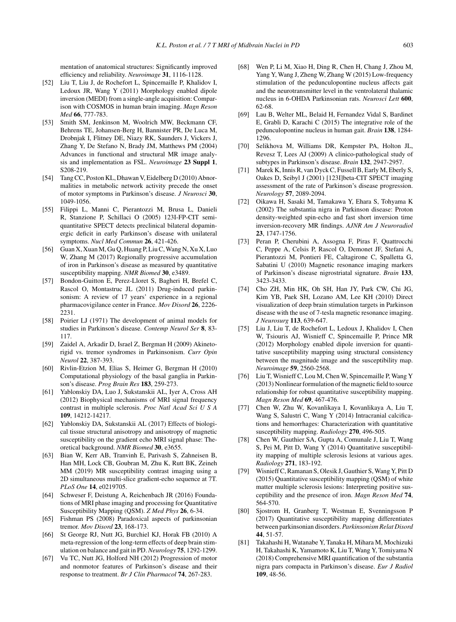mentation of anatomical structures: Significantly improved efficiency and reliability. *Neuroimage* **31**, 1116-1128.

- [52] Liu T, Liu J, de Rochefort L, Spincemaille P, Khalidov I, Ledoux JR, Wang Y (2011) Morphology enabled dipole inversion (MEDI) from a single-angle acquisition: Comparison with COSMOS in human brain imaging. *Magn Reson Med* **66**, 777-783.
- [53] Smith SM, Jenkinson M, Woolrich MW, Beckmann CF, Behrens TE, Johansen-Berg H, Bannister PR, De Luca M, Drobnjak I, Flitney DE, Niazy RK, Saunders J, Vickers J, Zhang Y, De Stefano N, Brady JM, Matthews PM (2004) Advances in functional and structural MR image analysis and implementation as FSL. *Neuroimage* **23 Suppl 1**, S208-219.
- [54] Tang CC, Poston KL, Dhawan V, Eidelberg D (2010) Abnormalities in metabolic network activity precede the onset of motor symptoms in Parkinson's disease. *J Neurosci* **30**, 1049-1056.
- [55] Filippi L, Manni C, Pierantozzi M, Brusa L, Danieli R, Stanzione P, Schillaci O (2005) 123I-FP-CIT semiquantitative SPECT detects preclinical bilateral dopaminergic deficit in early Parkinson's disease with unilateral symptoms. *Nucl Med Commun* **26**, 421-426.
- [56] Guan X, Xuan M, Gu Q, Huang P, Liu C, Wang N, Xu X, Luo W, Zhang M (2017) Regionally progressive accumulation of iron in Parkinson's disease as measured by quantitative susceptibility mapping. *NMR Biomed* **30**, e3489.
- [57] Bondon-Guitton E, Perez-Lloret S, Bagheri H, Brefel C, Rascol O, Montastruc JL (2011) Drug-induced parkinsonism: A review of 17 years' experience in a regional pharmacovigilance center in France. *Mov Disord* **26**, 2226- 2231.
- [58] Poirier LJ (1971) The development of animal models for studies in Parkinson's disease. *Contemp Neurol Ser* **8**, 83- 117.
- [59] Zaidel A, Arkadir D, Israel Z, Bergman H (2009) Akinetorigid vs. tremor syndromes in Parkinsonism. *Curr Opin Neurol* **22**, 387-393.
- [60] Rivlin-Etzion M, Elias S, Heimer G, Bergman H (2010) Computational physiology of the basal ganglia in Parkinson's disease. *Prog Brain Res* **183**, 259-273.
- [61] Yablonskiy DA, Luo J, Sukstanskii AL, Iyer A, Cross AH (2012) Biophysical mechanisms of MRI signal frequency contrast in multiple sclerosis. *Proc Natl Acad Sci U S A* **109**, 14212-14217.
- [62] Yablonskiy DA, Sukstanskii AL (2017) Effects of biological tissue structural anisotropy and anisotropy of magnetic susceptibility on the gradient echo MRI signal phase: Theoretical background. *NMR Biomed* **30**, e3655.
- [63] Bian W, Kerr AB, Tranvinh E, Parivash S, Zahneisen B, Han MH, Lock CB, Goubran M, Zhu K, Rutt BK, Zeineh MM (2019) MR susceptibility contrast imaging using a 2D simultaneous multi-slice gradient-echo sequence at 7T. *PLoS One* **14**, e0219705.
- [64] Schweser F, Deistung A, Reichenbach JR (2016) Foundations of MRI phase imaging and processing for Quantitative Susceptibility Mapping (QSM). *Z Med Phys* **26**, 6-34.
- [65] Fishman PS (2008) Paradoxical aspects of parkinsonian tremor. *Mov Disord* **23**, 168-173.
- [66] St George RJ, Nutt JG, Burchiel KJ, Horak FB (2010) A meta-regression of the long-term effects of deep brain stimulation on balance and gait in PD.*Neurology* **75**, 1292-1299.
- [67] Vu TC, Nutt JG, Holford NH (2012) Progression of motor and nonmotor features of Parkinson's disease and their response to treatment. *Br J Clin Pharmacol* **74**, 267-283.
- [68] Wen P, Li M, Xiao H, Ding R, Chen H, Chang J, Zhou M, Yang Y, Wang J, Zheng W, Zhang W (2015) Low-frequency stimulation of the pedunculopontine nucleus affects gait and the neurotransmitter level in the ventrolateral thalamic nucleus in 6-OHDA Parkinsonian rats. *Neurosci Lett* **600**, 62-68.
- [69] Lau B, Welter ML, Belaid H, Fernandez Vidal S, Bardinet E, Grabli D, Karachi C (2015) The integrative role of the pedunculopontine nucleus in human gait. *Brain* **138**, 1284- 1296.
- [70] Selikhova M, Williams DR, Kempster PA, Holton JL, Revesz T, Lees AJ (2009) A clinico-pathological study of subtypes in Parkinson's disease. *Brain* **132**, 2947-2957.
- [71] Marek K, Innis R, van Dyck C, Fussell B, Early M, Eberly S, Oakes D, Seibyl J (2001) [123I]beta-CIT SPECT imaging assessment of the rate of Parkinson's disease progression. *Neurology* **57**, 2089-2094.
- [72] Oikawa H, Sasaki M, Tamakawa Y, Ehara S, Tohyama K (2002) The substantia nigra in Parkinson disease: Proton density-weighted spin-echo and fast short inversion time inversion-recovery MR findings. *AJNR Am J Neuroradiol* **23**, 1747-1756.
- [73] Peran P, Cherubini A, Assogna F, Piras F, Quattrocchi C, Peppe A, Celsis P, Rascol O, Demonet JF, Stefani A, Pierantozzi M, Pontieri FE, Caltagirone C, Spalletta G, Sabatini U (2010) Magnetic resonance imaging markers of Parkinson's disease nigrostriatal signature. *Brain* **133**, 3423-3433.
- [74] Cho ZH, Min HK, Oh SH, Han JY, Park CW, Chi JG, Kim YB, Paek SH, Lozano AM, Lee KH (2010) Direct visualization of deep brain stimulation targets in Parkinson disease with the use of 7-tesla magnetic resonance imaging. *J Neurosurg* **113**, 639-647.
- [75] Liu J, Liu T, de Rochefort L, Ledoux J, Khalidov I, Chen W, Tsiouris AJ, Wisnieff C, Spincemaille P, Prince MR (2012) Morphology enabled dipole inversion for quantitative susceptibility mapping using structural consistency between the magnitude image and the susceptibility map. *Neuroimage* **59**, 2560-2568.
- [76] Liu T, Wisnieff C, Lou M, Chen W, Spincemaille P, Wang Y (2013) Nonlinear formulation of the magnetic field to source relationship for robust quantitative susceptibility mapping. *Magn Reson Med* **69**, 467-476.
- [77] Chen W, Zhu W, Kovanlikaya I, Kovanlikaya A, Liu T, Wang S, Salustri C, Wang Y (2014) Intracranial calcifications and hemorrhages: Characterization with quantitative susceptibility mapping. *Radiology* **270**, 496-505.
- [78] Chen W, Gauthier SA, Gupta A, Comunale J, Liu T, Wang S, Pei M, Pitt D, Wang Y (2014) Quantitative susceptibility mapping of multiple sclerosis lesions at various ages. *Radiology* **271**, 183-192.
- [79] Wisnieff C, Ramanan S, Olesik J, Gauthier S, Wang Y, Pitt D (2015) Quantitative susceptibility mapping (QSM) of white matter multiple sclerosis lesions: Interpreting positive susceptibility and the presence of iron. *Magn Reson Med* **74**, 564-570.
- [80] Sjostrom H, Granberg T, Westman E, Svenningsson P (2017) Quantitative susceptibility mapping differentiates between parkinsonian disorders. *Parkinsonism Relat Disord* **44**, 51-57.
- [81] Takahashi H, Watanabe Y, Tanaka H, Mihara M, Mochizuki H, Takahashi K, Yamamoto K, Liu T, Wang Y, Tomiyama N (2018) Comprehensive MRI quantification of the substantia nigra pars compacta in Parkinson's disease. *Eur J Radiol* **109**, 48-56.